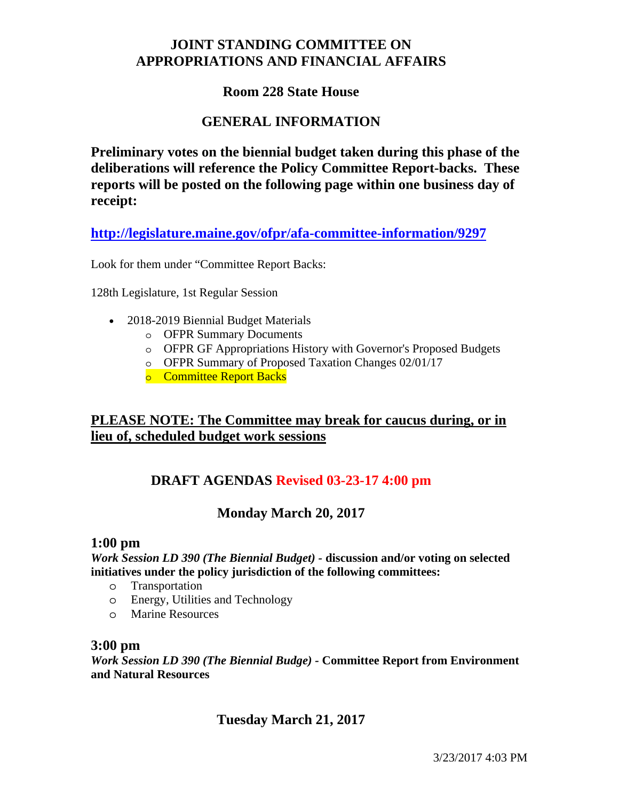# **JOINT STANDING COMMITTEE ON APPROPRIATIONS AND FINANCIAL AFFAIRS**

### **Room 228 State House**

### **GENERAL INFORMATION**

**Preliminary votes on the biennial budget taken during this phase of the deliberations will reference the Policy Committee Report-backs. These reports will be posted on the following page within one business day of receipt:** 

**http://legislature.maine.gov/ofpr/afa-committee-information/9297**

Look for them under "Committee Report Backs:

128th Legislature, 1st Regular Session

- 2018-2019 Biennial Budget Materials
	- o OFPR Summary Documents
	- o OFPR GF Appropriations History with Governor's Proposed Budgets
	- o OFPR Summary of Proposed Taxation Changes 02/01/17
	- o Committee Report Backs

## **PLEASE NOTE: The Committee may break for caucus during, or in lieu of, scheduled budget work sessions**

## **DRAFT AGENDAS Revised 03-23-17 4:00 pm**

#### **Monday March 20, 2017**

#### **1:00 pm**

*Work Session LD 390 (The Biennial Budget) -* **discussion and/or voting on selected initiatives under the policy jurisdiction of the following committees:** 

- o Transportation
- o Energy, Utilities and Technology
- o Marine Resources

#### **3:00 pm**

*Work Session LD 390 (The Biennial Budge) -* **Committee Report from Environment and Natural Resources** 

# **Tuesday March 21, 2017**